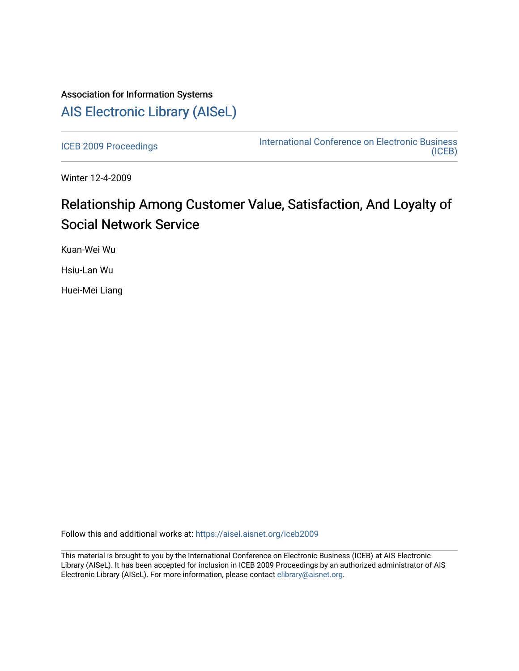## Association for Information Systems [AIS Electronic Library \(AISeL\)](https://aisel.aisnet.org/)

[ICEB 2009 Proceedings](https://aisel.aisnet.org/iceb2009) **International Conference on Electronic Business** [\(ICEB\)](https://aisel.aisnet.org/iceb) 

Winter 12-4-2009

# Relationship Among Customer Value, Satisfaction, And Loyalty of Social Network Service

Kuan-Wei Wu

Hsiu-Lan Wu

Huei-Mei Liang

Follow this and additional works at: [https://aisel.aisnet.org/iceb2009](https://aisel.aisnet.org/iceb2009?utm_source=aisel.aisnet.org%2Ficeb2009%2F2&utm_medium=PDF&utm_campaign=PDFCoverPages)

This material is brought to you by the International Conference on Electronic Business (ICEB) at AIS Electronic Library (AISeL). It has been accepted for inclusion in ICEB 2009 Proceedings by an authorized administrator of AIS Electronic Library (AISeL). For more information, please contact [elibrary@aisnet.org.](mailto:elibrary@aisnet.org%3E)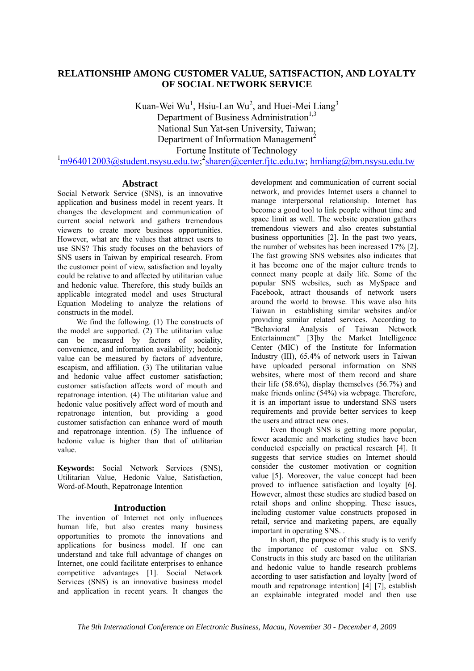### **RELATIONSHIP AMONG CUSTOMER VALUE, SATISFACTION, AND LOYALTY OF SOCIAL NETWORK SERVICE**

Kuan-Wei Wu<sup>1</sup>, Hsiu-Lan Wu<sup>2</sup>, and Huei-Mei Liang<sup>3</sup> Department of Business Administration<sup>1,3</sup> National Sun Yat-sen University, Taiwan; Department of Information Management<sup>2</sup> Fortune Institute of Technology

 $\frac{1}{1}$ m964012003@student.nsysu.edu.tw; sharen@center.fjtc.edu.tw; hmliang@bm.nsysu.edu.tw

#### **Abstract**

Social Network Service (SNS), is an innovative application and business model in recent years. It changes the development and communication of current social network and gathers tremendous viewers to create more business opportunities. However, what are the values that attract users to use SNS? This study focuses on the behaviors of SNS users in Taiwan by empirical research. From the customer point of view, satisfaction and loyalty could be relative to and affected by utilitarian value and hedonic value. Therefore, this study builds an applicable integrated model and uses Structural Equation Modeling to analyze the relations of constructs in the model.

We find the following. (1) The constructs of the model are supported. (2) The utilitarian value can be measured by factors of sociality, convenience, and information availability; hedonic value can be measured by factors of adventure, escapism, and affiliation. (3) The utilitarian value and hedonic value affect customer satisfaction; customer satisfaction affects word of mouth and repatronage intention. (4) The utilitarian value and hedonic value positively affect word of mouth and repatronage intention, but providing a good customer satisfaction can enhance word of mouth and repatronage intention. (5) The influence of hedonic value is higher than that of utilitarian value.

**Keywords:** Social Network Services (SNS), Utilitarian Value, Hedonic Value, Satisfaction, Word-of-Mouth, Repatronage Intention

#### **Introduction**

The invention of Internet not only influences human life, but also creates many business opportunities to promote the innovations and applications for business model. If one can understand and take full advantage of changes on Internet, one could facilitate enterprises to enhance competitive advantages [1]. Social Network Services (SNS) is an innovative business model and application in recent years. It changes the

development and communication of current social network, and provides Internet users a channel to manage interpersonal relationship. Internet has become a good tool to link people without time and space limit as well. The website operation gathers tremendous viewers and also creates substantial business opportunities [2]. In the past two years, the number of websites has been increased 17% [2]. The fast growing SNS websites also indicates that it has become one of the major culture trends to connect many people at daily life. Some of the popular SNS websites, such as MySpace and Facebook, attract thousands of network users around the world to browse. This wave also hits Taiwan in establishing similar websites and/or providing similar related services. According to "Behavioral Analysis of Taiwan Network Entertainment" [3]by the Market Intelligence Center (MIC) of the Institute for Information Industry (III), 65.4% of network users in Taiwan have uploaded personal information on SNS websites, where most of them record and share their life (58.6%), display themselves (56.7%) and make friends online (54%) via webpage. Therefore, it is an important issue to understand SNS users requirements and provide better services to keep the users and attract new ones.

Even though SNS is getting more popular, fewer academic and marketing studies have been conducted especially on practical research [4]. It suggests that service studies on Internet should consider the customer motivation or cognition value [5]. Moreover, the value concept had been proved to influence satisfaction and loyalty [6]. However, almost these studies are studied based on retail shops and online shopping. These issues, including customer value constructs proposed in retail, service and marketing papers, are equally important in operating SNS. .

In short, the purpose of this study is to verify the importance of customer value on SNS. Constructs in this study are based on the utilitarian and hedonic value to handle research problems according to user satisfaction and loyalty [word of mouth and repatronage intention] [4] [7], establish an explainable integrated model and then use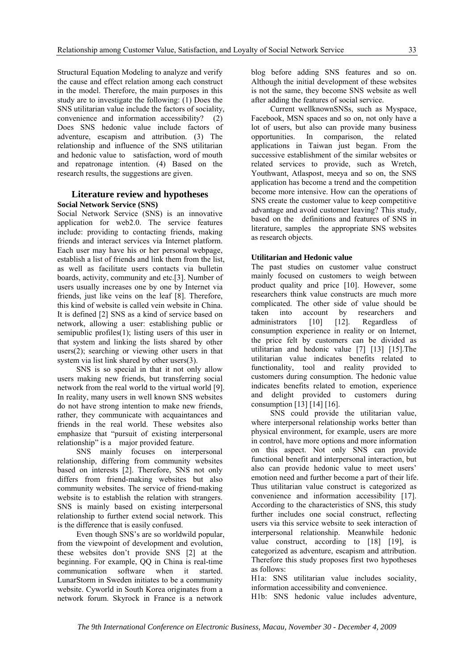Structural Equation Modeling to analyze and verify the cause and effect relation among each construct in the model. Therefore, the main purposes in this study are to investigate the following: (1) Does the SNS utilitarian value include the factors of sociality, convenience and information accessibility? (2) Does SNS hedonic value include factors of adventure, escapism and attribution. (3) The relationship and influence of the SNS utilitarian and hedonic value to satisfaction, word of mouth and repatronage intention. (4) Based on the research results, the suggestions are given.

#### **Literature review and hypotheses Social Network Service (SNS)**

Social Network Service (SNS) is an innovative application for web2.0. The service features include: providing to contacting friends, making friends and interact services via Internet platform. Each user may have his or her personal webpage, establish a list of friends and link them from the list, as well as facilitate users contacts via bulletin boards, activity, community and etc.[3]. Number of users usually increases one by one by Internet via friends, just like veins on the leaf [8]. Therefore, this kind of website is called vein website in China. It is defined [2] SNS as a kind of service based on network, allowing a user: establishing public or semipublic profiles(1); listing users of this user in that system and linking the lists shared by other users(2); searching or viewing other users in that system via list link shared by other users(3).

SNS is so special in that it not only allow users making new friends, but transferring social network from the real world to the virtual world [9]. In reality, many users in well known SNS websites do not have strong intention to make new friends, rather, they communicate with acquaintances and friends in the real world. These websites also emphasize that "pursuit of existing interpersonal relationship" is a major provided feature.

SNS mainly focuses on interpersonal relationship, differing from community websites based on interests [2]. Therefore, SNS not only differs from friend-making websites but also community websites. The service of friend-making website is to establish the relation with strangers. SNS is mainly based on existing interpersonal relationship to further extend social network. This is the difference that is easily confused.

Even though SNS's are so worldwild popular, from the viewpoint of development and evolution, these websites don't provide SNS [2] at the beginning. For example, QQ in China is real-time communication software when it started. LunarStorm in Sweden initiates to be a community website. Cyworld in South Korea originates from a network forum. Skyrock in France is a network

blog before adding SNS features and so on. Although the initial development of these websites is not the same, they become SNS website as well after adding the features of social service.

Current wellknownSNSs, such as Myspace, Facebook, MSN spaces and so on, not only have a lot of users, but also can provide many business opportunities. In comparison, the related applications in Taiwan just began. From the successive establishment of the similar websites or related services to provide, such as Wretch, Youthwant, Atlaspost, meeya and so on, the SNS application has become a trend and the competition become more intensive. How can the operations of SNS create the customer value to keep competitive advantage and avoid customer leaving? This study, based on the definitions and features of SNS in literature, samples the appropriate SNS websites as research objects.

#### **Utilitarian and Hedonic value**

The past studies on customer value construct mainly focused on customers to weigh between product quality and price [10]. However, some researchers think value constructs are much more complicated. The other side of value should be taken into account by researchers and administrators [10] [12]. Regardless of consumption experience in reality or on Internet, the price felt by customers can be divided as utilitarian and hedonic value [7] [13] [15].The utilitarian value indicates benefits related to functionality, tool and reality provided to customers during consumption. The hedonic value indicates benefits related to emotion, experience and delight provided to customers during consumption [13] [14] [16].

SNS could provide the utilitarian value, where interpersonal relationship works better than physical environment, for example, users are more in control, have more options and more information on this aspect. Not only SNS can provide functional benefit and interpersonal interaction, but also can provide hedonic value to meet users' emotion need and further become a part of their life. Thus utilitarian value construct is categorized as convenience and information accessibility [17]. According to the characteristics of SNS, this study further includes one social construct, reflecting users via this service website to seek interaction of interpersonal relationship. Meanwhile hedonic value construct, according to [18] [19], is categorized as adventure, escapism and attribution. Therefore this study proposes first two hypotheses as follows:

H1a: SNS utilitarian value includes sociality, information accessibility and convenience.

H1b: SNS hedonic value includes adventure,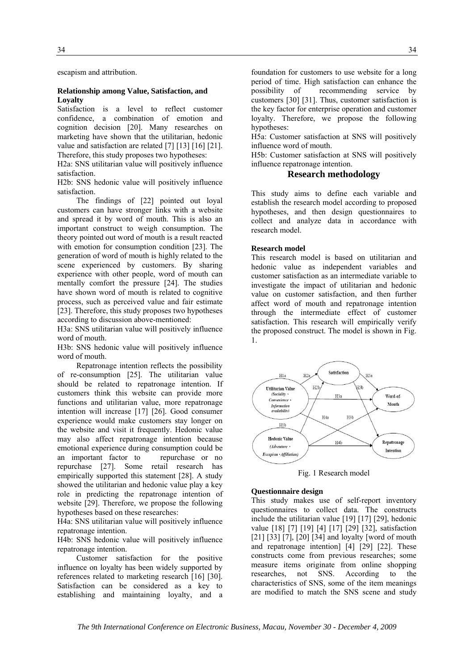escapism and attribution.

#### **Relationship among Value, Satisfaction, and Loyalty**

Satisfaction is a level to reflect customer confidence, a combination of emotion and cognition decision [20]. Many researches on marketing have shown that the utilitarian, hedonic value and satisfaction are related [7] [13] [16] [21]. Therefore, this study proposes two hypotheses:

H2a: SNS utilitarian value will positively influence satisfaction.

H2b: SNS hedonic value will positively influence satisfaction.

The findings of [22] pointed out loyal customers can have stronger links with a website and spread it by word of mouth. This is also an important construct to weigh consumption. The theory pointed out word of mouth is a result reacted with emotion for consumption condition [23]. The generation of word of mouth is highly related to the scene experienced by customers. By sharing experience with other people, word of mouth can mentally comfort the pressure [24]. The studies have shown word of mouth is related to cognitive process, such as perceived value and fair estimate [23]. Therefore, this study proposes two hypotheses according to discussion above-mentioned:

H3a: SNS utilitarian value will positively influence word of mouth.

H3b: SNS hedonic value will positively influence word of mouth.

Repatronage intention reflects the possibility of re-consumption [25]. The utilitarian value should be related to repatronage intention. If customers think this website can provide more functions and utilitarian value, more repatronage intention will increase [17] [26]. Good consumer experience would make customers stay longer on the website and visit it frequently. Hedonic value may also affect repatronage intention because emotional experience during consumption could be an important factor to repurchase or no repurchase [27]. Some retail research has empirically supported this statement [28]. A study showed the utilitarian and hedonic value play a key role in predicting the repatronage intention of website [29]. Therefore, we propose the following hypotheses based on these researches:

H4a: SNS utilitarian value will positively influence repatronage intention.

H4b: SNS hedonic value will positively influence repatronage intention.

Customer satisfaction for the positive influence on loyalty has been widely supported by references related to marketing research [16] [30]. Satisfaction can be considered as a key to establishing and maintaining loyalty, and a

foundation for customers to use website for a long period of time. High satisfaction can enhance the possibility of recommending service by customers [30] [31]. Thus, customer satisfaction is the key factor for enterprise operation and customer loyalty. Therefore, we propose the following hypotheses:

H5a: Customer satisfaction at SNS will positively influence word of mouth.

H5b: Customer satisfaction at SNS will positively influence repatronage intention.

#### **Research methodology**

This study aims to define each variable and establish the research model according to proposed hypotheses, and then design questionnaires to collect and analyze data in accordance with research model.

#### **Research model**

This research model is based on utilitarian and hedonic value as independent variables and customer satisfaction as an intermediate variable to investigate the impact of utilitarian and hedonic value on customer satisfaction, and then further affect word of mouth and repatronage intention through the intermediate effect of customer satisfaction. This research will empirically verify the proposed construct. The model is shown in Fig. 1.



Fig. 1 Research model

#### **Questionnaire design**

This study makes use of self-report inventory questionnaires to collect data. The constructs include the utilitarian value [19] [17] [29], hedonic value [18] [7] [19] [4] [17] [29] [32], satisfaction [21] [33] [7], [20] [34] and loyalty [word of mouth] and repatronage intention] [4] [29] [22]. These constructs come from previous researches; some measure items originate from online shopping researches, not SNS. According to the characteristics of SNS, some of the item meanings are modified to match the SNS scene and study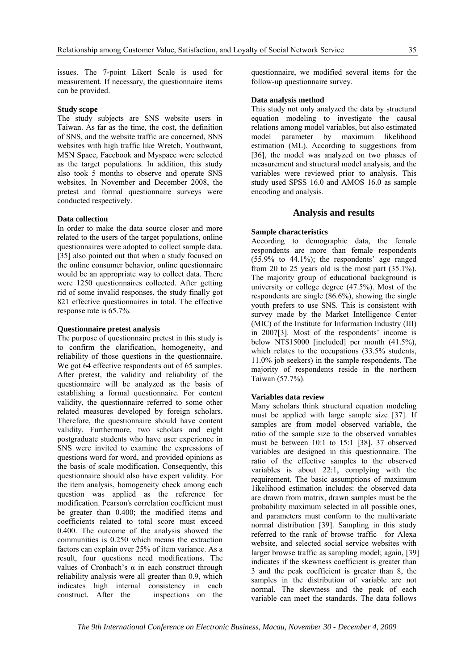issues. The 7-point Likert Scale is used for measurement. If necessary, the questionnaire items can be provided.

#### **Study scope**

The study subjects are SNS website users in Taiwan. As far as the time, the cost, the definition of SNS, and the website traffic are concerned, SNS websites with high traffic like Wretch, Youthwant, MSN Space, Facebook and Myspace were selected as the target populations. In addition, this study also took 5 months to observe and operate SNS websites. In November and December 2008, the pretest and formal questionnaire surveys were conducted respectively.

#### **Data collection**

In order to make the data source closer and more related to the users of the target populations, online questionnaires were adopted to collect sample data. [35] also pointed out that when a study focused on the online consumer behavior, online questionnaire would be an appropriate way to collect data. There were 1250 questionnaires collected. After getting rid of some invalid responses, the study finally got 821 effective questionnaires in total. The effective response rate is 65.7%.

#### **Questionnaire pretest analysis**

The purpose of questionnaire pretest in this study is to confirm the clarification, homogeneity, and reliability of those questions in the questionnaire. We got 64 effective respondents out of 65 samples. After pretest, the validity and reliability of the questionnaire will be analyzed as the basis of establishing a formal questionnaire. For content validity, the questionnaire referred to some other related measures developed by foreign scholars. Therefore, the questionnaire should have content validity. Furthermore, two scholars and eight postgraduate students who have user experience in SNS were invited to examine the expressions of questions word for word, and provided opinions as the basis of scale modification. Consequently, this questionnaire should also have expert validity. For the item analysis, homogeneity check among each question was applied as the reference for modification. Pearson's correlation coefficient must be greater than 0.400; the modified items and coefficients related to total score must exceed 0.400. The outcome of the analysis showed the communities is 0.250 which means the extraction factors can explain over 25% of item variance. As a result, four questions need modifications. The values of Cronbach's  $\alpha$  in each construct through reliability analysis were all greater than 0.9, which indicates high internal consistency in each construct. After the inspections on the

questionnaire, we modified several items for the follow-up questionnaire survey.

#### **Data analysis method**

This study not only analyzed the data by structural equation modeling to investigate the causal relations among model variables, but also estimated model parameter by maximum likelihood estimation (ML). According to suggestions from [36], the model was analyzed on two phases of measurement and structural model analysis, and the variables were reviewed prior to analysis. This study used SPSS 16.0 and AMOS 16.0 as sample encoding and analysis.

#### **Analysis and results**

#### **Sample characteristics**

According to demographic data, the female respondents are more than female respondents (55.9% to 44.1%); the respondents' age ranged from 20 to 25 years old is the most part  $(35.1\%)$ . The majority group of educational background is university or college degree (47.5%). Most of the respondents are single (86.6%), showing the single youth prefers to use SNS. This is consistent with survey made by the Market Intelligence Center (MIC) of the Institute for Information Industry (III) in 2007[3]. Most of the respondents' income is below NT\$15000 [included] per month (41.5%), which relates to the occupations (33.5% students, 11.0% job seekers) in the sample respondents. The majority of respondents reside in the northern Taiwan (57.7%).

#### **Variables data review**

Many scholars think structural equation modeling must be applied with large sample size [37]. If samples are from model observed variable, the ratio of the sample size to the observed variables must be between 10:1 to 15:1 [38]. 37 observed variables are designed in this questionnaire. The ratio of the effective samples to the observed variables is about 22:1, complying with the requirement. The basic assumptions of maximum 1ikelihood estimation includes: the observed data are drawn from matrix, drawn samples must be the probability maximum selected in all possible ones, and parameters must conform to the multivariate normal distribution [39]. Sampling in this study referred to the rank of browse traffic for Alexa website, and selected social service websites with larger browse traffic as sampling model; again, [39] indicates if the skewness coefficient is greater than 3 and the peak coefficient is greater than 8, the samples in the distribution of variable are not normal. The skewness and the peak of each variable can meet the standards. The data follows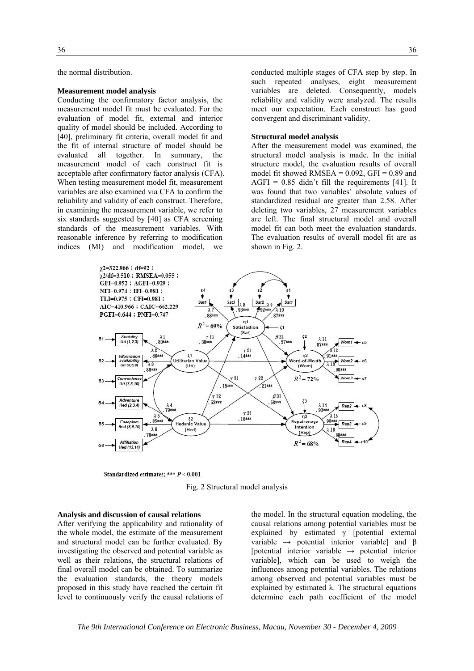the normal distribution.

#### **Measurement model analysis**

Conducting the confirmatory factor analysis, the measurement model fit must be evaluated. For the evaluation of model fit, external and interior quality of model should be included. According to [40], preliminary fit criteria, overall model fit and the fit of internal structure of model should be evaluated all together. In summary, the measurement model of each construct fit is acceptable after confirmatory factor analysis (CFA). When testing measurement model fit, measurement variables are also examined via CFA to confirm the reliability and validity of each construct. Therefore, in examining the measurement variable, we refer to six standards suggested by [40] as CFA screening standards of the measurement variables. With reasonable inference by referring to modification indices (MI) and modification model, we

conducted multiple stages of CFA step by step. In such repeated analyses, eight measurement variables are deleted. Consequently, models reliability and validity were analyzed. The results meet our expectation. Each construct has good convergent and discriminant validity.

#### **Structural model analysis**

After the measurement model was examined, the structural model analysis is made. In the initial structure model, the evaluation results of overall model fit showed RMSEA =  $0.092$ , GFI =  $0.89$  and AGFI =  $0.85$  didn't fill the requirements [41]. It was found that two variables' absolute values of standardized residual are greater than 2.58. After deleting two variables, 27 measurement variables are left. The final structural model and overall model fit can both meet the evaluation standards. The evaluation results of overall model fit are as shown in Fig. 2.



Standardized estimates; \*\*\*  $P < 0.001$ 



#### **Analysis and discussion of causal relations**

After verifying the applicability and rationality of the whole model, the estimate of the measurement and structural model can be further evaluated. By investigating the observed and potential variable as well as their relations, the structural relations of final overall model can be obtained. To summarize the evaluation standards, the theory models proposed in this study have reached the certain fit level to continuously verify the causal relations of

the model. In the structural equation modeling, the causal relations among potential variables must be explained by estimated γ [potential external variable  $\rightarrow$  potential interior variable] and β [potential interior variable → potential interior variable], which can be used to weigh the influences among potential variables. The relations among observed and potential variables must be explained by estimated  $\lambda$ . The structural equations determine each path coefficient of the model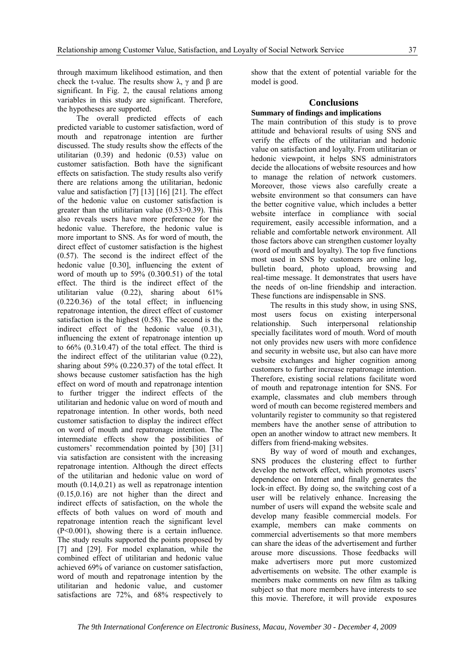through maximum likelihood estimation, and then check the t-value. The results show  $\lambda$ ,  $\gamma$  and  $\beta$  are significant. In Fig. 2, the causal relations among variables in this study are significant. Therefore, the hypotheses are supported.

The overall predicted effects of each predicted variable to customer satisfaction, word of mouth and repatronage intention are further discussed. The study results show the effects of the utilitarian (0.39) and hedonic (0.53) value on customer satisfaction. Both have the significant effects on satisfaction. The study results also verify there are relations among the utilitarian, hedonic value and satisfaction [7] [13] [16] [21]. The effect of the hedonic value on customer satisfaction is greater than the utilitarian value (0.53>0.39). This also reveals users have more preference for the hedonic value. Therefore, the hedonic value is more important to SNS. As for word of mouth, the direct effect of customer satisfaction is the highest (0.57). The second is the indirect effect of the hedonic value [0.30], influencing the extent of word of mouth up to 59% (0.30⁄0.51) of the total effect. The third is the indirect effect of the utilitarian value (0.22), sharing about 61% (0.22⁄0.36) of the total effect; in influencing repatronage intention, the direct effect of customer satisfaction is the highest (0.58). The second is the indirect effect of the hedonic value (0.31), influencing the extent of repatronage intention up to  $66\%$   $(0.31/0.47)$  of the total effect. The third is the indirect effect of the utilitarian value (0.22), sharing about 59% (0.22⁄0.37) of the total effect. It shows because customer satisfaction has the high effect on word of mouth and repatronage intention to further trigger the indirect effects of the utilitarian and hedonic value on word of mouth and repatronage intention. In other words, both need customer satisfaction to display the indirect effect on word of mouth and repatronage intention. The intermediate effects show the possibilities of customers' recommendation pointed by [30] [31] via satisfaction are consistent with the increasing repatronage intention. Although the direct effects of the utilitarian and hedonic value on word of mouth (0.14,0.21) as well as repatronage intention (0.15,0.16) are not higher than the direct and indirect effects of satisfaction, on the whole the effects of both values on word of mouth and repatronage intention reach the significant level (P<0.001), showing there is a certain influence. The study results supported the points proposed by [7] and [29]. For model explanation, while the combined effect of utilitarian and hedonic value achieved 69% of variance on customer satisfaction, word of mouth and repatronage intention by the utilitarian and hedonic value, and customer satisfactions are 72%, and 68% respectively to

show that the extent of potential variable for the model is good.

#### **Conclusions**

#### **Summary of findings and implications**

The main contribution of this study is to prove attitude and behavioral results of using SNS and verify the effects of the utilitarian and hedonic value on satisfaction and loyalty. From utilitarian or hedonic viewpoint, it helps SNS administrators decide the allocations of website resources and how to manage the relation of network customers. Moreover, those views also carefully create a website environment so that consumers can have the better cognitive value, which includes a better website interface in compliance with social requirement, easily accessible information, and a reliable and comfortable network environment. All those factors above can strengthen customer loyalty (word of mouth and loyalty). The top five functions most used in SNS by customers are online log, bulletin board, photo upload, browsing and real-time message. It demonstrates that users have the needs of on-line friendship and interaction. These functions are indispensable in SNS.

The results in this study show, in using SNS, most users focus on existing interpersonal relationship. Such interpersonal relationship specially facilitates word of mouth. Word of mouth not only provides new users with more confidence and security in website use, but also can have more website exchanges and higher cognition among customers to further increase repatronage intention. Therefore, existing social relations facilitate word of mouth and repatronage intention for SNS. For example, classmates and club members through word of mouth can become registered members and voluntarily register to community so that registered members have the another sense of attribution to open an another window to attract new members. It differs from friend-making websites.

By way of word of mouth and exchanges, SNS produces the clustering effect to further develop the network effect, which promotes users' dependence on Internet and finally generates the lock-in effect. By doing so, the switching cost of a user will be relatively enhance. Increasing the number of users will expand the website scale and develop many feasible commercial models. For example, members can make comments on commercial advertisements so that more members can share the ideas of the advertisement and further arouse more discussions. Those feedbacks will make advertisers more put more customized advertisements on website. The other example is members make comments on new film as talking subject so that more members have interests to see this movie. Therefore, it will provide exposures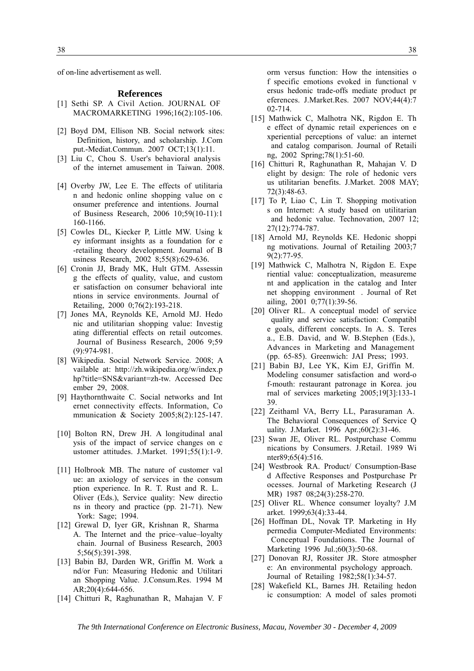of on-line advertisement as well.

#### **References**

- [1] Sethi SP. A Civil Action. JOURNAL OF MACROMARKETING 1996;16(2):105-106.
- [2] Boyd DM, Ellison NB. Social network sites: Definition, history, and scholarship. J.Com put.-Mediat.Commun. 2007 OCT;13(1):11.
- [3] Liu C, Chou S. User's behavioral analysis of the internet amusement in Taiwan. 2008.
- [4] Overby JW, Lee E. The effects of utilitaria n and hedonic online shopping value on c onsumer preference and intentions. Journal of Business Research, 2006 10;59(10-11):1 160-1166.
- [5] Cowles DL, Kiecker P, Little MW. Using k ey informant insights as a foundation for e -retailing theory development. Journal of B usiness Research, 2002 8;55(8):629-636.
- [6] Cronin JJ, Brady MK, Hult GTM. Assessin g the effects of quality, value, and custom er satisfaction on consumer behavioral inte ntions in service environments. Journal of Retailing, 2000 0;76(2):193-218.
- [7] Jones MA, Reynolds KE, Arnold MJ. Hedo nic and utilitarian shopping value: Investig ating differential effects on retail outcomes. Journal of Business Research, 2006 9;59 (9):974-981.
- [8] Wikipedia. Social Network Service. 2008; A vailable at: http://zh.wikipedia.org/w/index.p hp?title=SNS&variant=zh-tw. Accessed Dec ember 29, 2008.
- [9] Haythornthwaite C. Social networks and Int ernet connectivity effects. Information, Co mmunication & Society 2005;8(2):125-147.
- [10] Bolton RN, Drew JH. A longitudinal anal ysis of the impact of service changes on c ustomer attitudes. J.Market. 1991;55(1):1-9.
- [11] Holbrook MB. The nature of customer val ue: an axiology of services in the consum ption experience. In R. T. Rust and R. L. Oliver (Eds.), Service quality: New directio ns in theory and practice (pp. 21-71). New York: Sage; 1994.
- [12] Grewal D, Iyer GR, Krishnan R, Sharma A. The Internet and the price–value–loyalty chain. Journal of Business Research, 2003 5;56(5):391-398.
- [13] Babin BJ, Darden WR, Griffin M. Work a nd/or Fun: Measuring Hedonic and Utilitari an Shopping Value. J.Consum.Res. 1994 M AR;20(4):644-656.
- [14] Chitturi R, Raghunathan R, Mahajan V. F

orm versus function: How the intensities o f specific emotions evoked in functional v ersus hedonic trade-offs mediate product pr eferences. J.Market.Res. 2007 NOV;44(4):7 02-714.

- [15] Mathwick C, Malhotra NK, Rigdon E. Th e effect of dynamic retail experiences on e xperiential perceptions of value: an internet and catalog comparison. Journal of Retaili ng, 2002 Spring;78(1):51-60.
- [16] Chitturi R, Raghunathan R, Mahajan V. D elight by design: The role of hedonic vers us utilitarian benefits. J.Market. 2008 MAY; 72(3):48-63.
- [17] To P, Liao C, Lin T. Shopping motivation s on Internet: A study based on utilitarian and hedonic value. Technovation, 2007 12; 27(12):774-787.
- [18] Arnold MJ, Reynolds KE. Hedonic shoppi ng motivations. Journal of Retailing 2003;7 9(2):77-95.
- [19] Mathwick C, Malhotra N, Rigdon E. Expe riential value: conceptualization, measureme nt and application in the catalog and Inter net shopping environment. Journal of Ret ailing, 2001 0;77(1):39-56.
- [20] Oliver RL. A conceptual model of service quality and service satisfaction: Compatibl e goals, different concepts. In A. S. Teres a., E.B. David, and W. B.Stephen (Eds.), Advances in Marketing and Management (pp. 65-85). Greenwich: JAI Press; 1993.
- [21] Babin BJ, Lee YK, Kim EJ, Griffin M. Modeling consumer satisfaction and word-o f-mouth: restaurant patronage in Korea. jou rnal of services marketing 2005;19[3]:133-1 39.
- [22] Zeithaml VA, Berry LL, Parasuraman A. The Behavioral Consequences of Service Q uality. J.Market. 1996 Apr.;60(2):31-46.
- [23] Swan JE, Oliver RL. Postpurchase Commu nications by Consumers. J.Retail. 1989 Wi nter89;65(4):516.
- [24] Westbrook RA. Product/ Consumption-Base d Affective Responses and Postpurchase Pr ocesses. Journal of Marketing Research (J MR) 1987 08;24(3):258-270.
- [25] Oliver RL. Whence consumer loyalty? J.M arket. 1999;63(4):33-44.
- [26] Hoffman DL, Novak TP. Marketing in Hy permedia Computer-Mediated Environments: Conceptual Foundations. The Journal of Marketing 1996 Jul.;60(3):50-68.
- [27] Donovan RJ, Rossiter JR. Store atmospher e: An environmental psychology approach. Journal of Retailing 1982;58(1):34-57.
- [28] Wakefield KL, Barnes JH. Retailing hedon ic consumption: A model of sales promoti